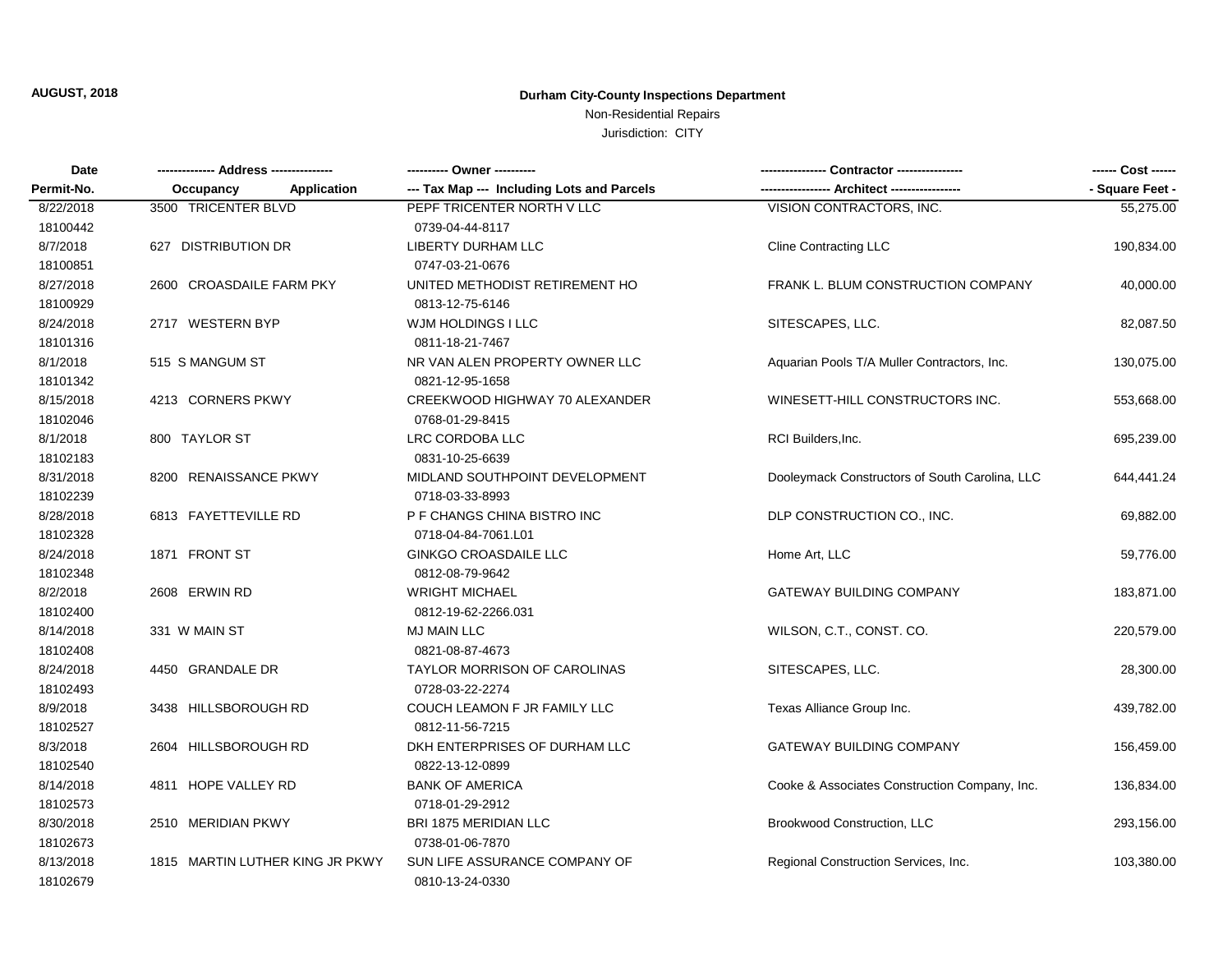## Non-Residential Repairs

| Date       |                                 |                                            |                                                | ------ Cost ------ |
|------------|---------------------------------|--------------------------------------------|------------------------------------------------|--------------------|
| Permit-No. | <b>Application</b><br>Occupancy | --- Tax Map --- Including Lots and Parcels |                                                | - Square Feet -    |
| 8/22/2018  | 3500 TRICENTER BLVD             | PEPF TRICENTER NORTH V LLC                 | VISION CONTRACTORS, INC.                       | 55,275.00          |
| 18100442   |                                 | 0739-04-44-8117                            |                                                |                    |
| 8/7/2018   | 627 DISTRIBUTION DR             | <b>LIBERTY DURHAM LLC</b>                  | <b>Cline Contracting LLC</b>                   | 190,834.00         |
| 18100851   |                                 | 0747-03-21-0676                            |                                                |                    |
| 8/27/2018  | 2600 CROASDAILE FARM PKY        | UNITED METHODIST RETIREMENT HO             | FRANK L. BLUM CONSTRUCTION COMPANY             | 40,000.00          |
| 18100929   |                                 | 0813-12-75-6146                            |                                                |                    |
| 8/24/2018  | 2717 WESTERN BYP                | WJM HOLDINGS I LLC                         | SITESCAPES, LLC.                               | 82,087.50          |
| 18101316   |                                 | 0811-18-21-7467                            |                                                |                    |
| 8/1/2018   | 515 S MANGUM ST                 | NR VAN ALEN PROPERTY OWNER LLC             | Aquarian Pools T/A Muller Contractors, Inc.    | 130,075.00         |
| 18101342   |                                 | 0821-12-95-1658                            |                                                |                    |
| 8/15/2018  | 4213 CORNERS PKWY               | CREEKWOOD HIGHWAY 70 ALEXANDER             | WINESETT-HILL CONSTRUCTORS INC.                | 553,668.00         |
| 18102046   |                                 | 0768-01-29-8415                            |                                                |                    |
| 8/1/2018   | 800 TAYLOR ST                   | LRC CORDOBA LLC                            | RCI Builders, Inc.                             | 695,239.00         |
| 18102183   |                                 | 0831-10-25-6639                            |                                                |                    |
| 8/31/2018  | 8200 RENAISSANCE PKWY           | MIDLAND SOUTHPOINT DEVELOPMENT             | Dooleymack Constructors of South Carolina, LLC | 644,441.24         |
| 18102239   |                                 | 0718-03-33-8993                            |                                                |                    |
| 8/28/2018  | 6813 FAYETTEVILLE RD            | P F CHANGS CHINA BISTRO INC                | DLP CONSTRUCTION CO., INC.                     | 69,882.00          |
| 18102328   |                                 | 0718-04-84-7061.L01                        |                                                |                    |
| 8/24/2018  | 1871 FRONT ST                   | <b>GINKGO CROASDAILE LLC</b>               | Home Art, LLC                                  | 59,776.00          |
| 18102348   |                                 | 0812-08-79-9642                            |                                                |                    |
| 8/2/2018   | 2608 ERWIN RD                   | <b>WRIGHT MICHAEL</b>                      | <b>GATEWAY BUILDING COMPANY</b>                | 183,871.00         |
| 18102400   |                                 | 0812-19-62-2266.031                        |                                                |                    |
| 8/14/2018  | 331 W MAIN ST                   | <b>MJ MAIN LLC</b>                         | WILSON, C.T., CONST. CO.                       | 220,579.00         |
| 18102408   |                                 | 0821-08-87-4673                            |                                                |                    |
| 8/24/2018  | 4450 GRANDALE DR                | <b>TAYLOR MORRISON OF CAROLINAS</b>        | SITESCAPES, LLC.                               | 28,300.00          |
| 18102493   |                                 | 0728-03-22-2274                            |                                                |                    |
| 8/9/2018   | 3438 HILLSBOROUGH RD            | COUCH LEAMON F JR FAMILY LLC               | Texas Alliance Group Inc.                      | 439,782.00         |
| 18102527   |                                 | 0812-11-56-7215                            |                                                |                    |
| 8/3/2018   | 2604 HILLSBOROUGH RD            | DKH ENTERPRISES OF DURHAM LLC              | <b>GATEWAY BUILDING COMPANY</b>                | 156,459.00         |
| 18102540   |                                 | 0822-13-12-0899                            |                                                |                    |
| 8/14/2018  | 4811 HOPE VALLEY RD             | <b>BANK OF AMERICA</b>                     | Cooke & Associates Construction Company, Inc.  | 136,834.00         |
| 18102573   |                                 | 0718-01-29-2912                            |                                                |                    |
| 8/30/2018  | 2510 MERIDIAN PKWY              | BRI 1875 MERIDIAN LLC                      | Brookwood Construction, LLC                    | 293,156.00         |
| 18102673   |                                 | 0738-01-06-7870                            |                                                |                    |
| 8/13/2018  | 1815 MARTIN LUTHER KING JR PKWY | SUN LIFE ASSURANCE COMPANY OF              | Regional Construction Services, Inc.           | 103,380.00         |
| 18102679   |                                 | 0810-13-24-0330                            |                                                |                    |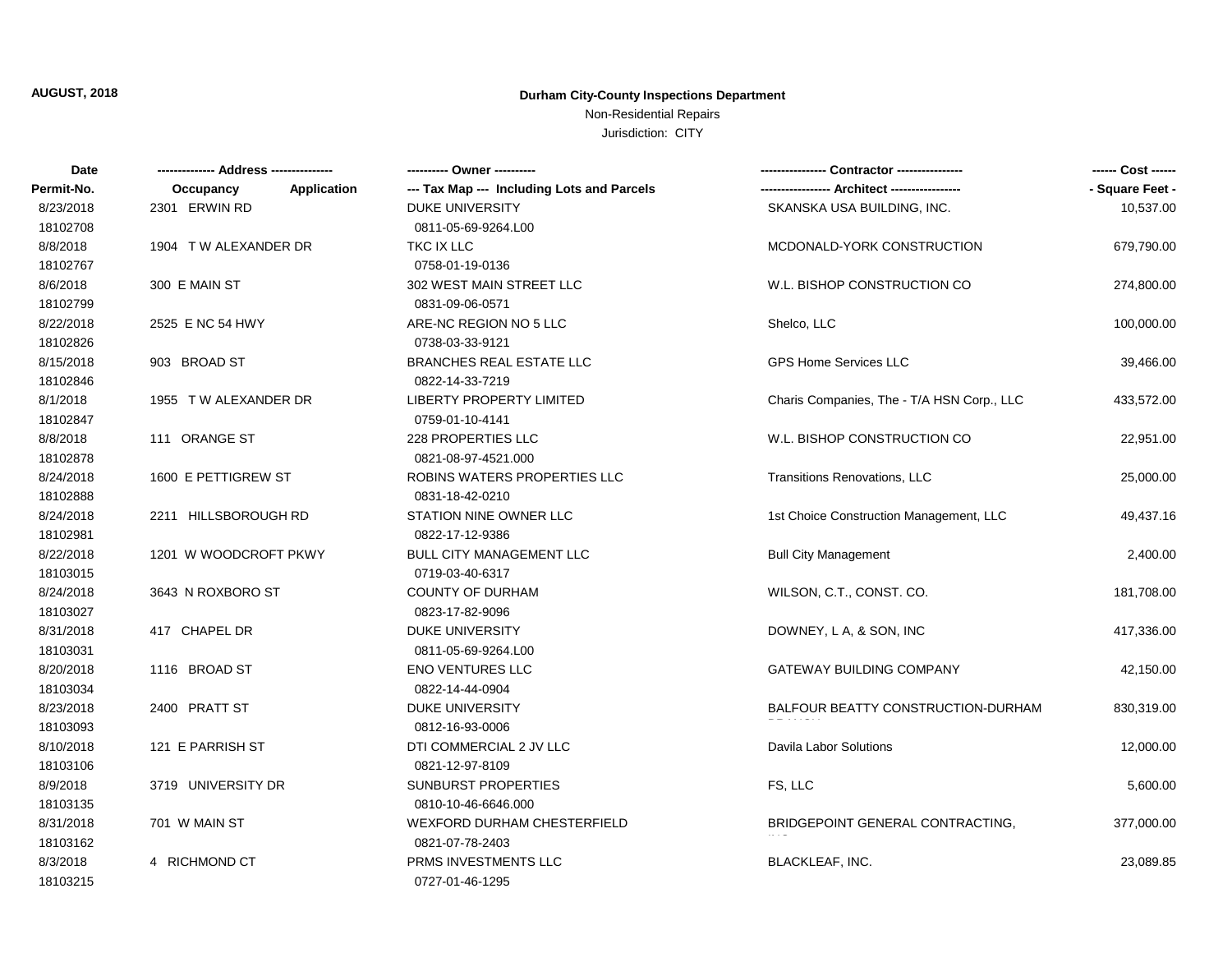# Non-Residential Repairs

| Date       | ------------- Address -------------- |                                            |                                            |                 |
|------------|--------------------------------------|--------------------------------------------|--------------------------------------------|-----------------|
| Permit-No. | Application<br>Occupancy             | --- Tax Map --- Including Lots and Parcels |                                            | - Square Feet - |
| 8/23/2018  | 2301 ERWIN RD                        | <b>DUKE UNIVERSITY</b>                     | SKANSKA USA BUILDING, INC.                 | 10,537.00       |
| 18102708   |                                      | 0811-05-69-9264.L00                        |                                            |                 |
| 8/8/2018   | 1904 T W ALEXANDER DR                | TKC IX LLC                                 | MCDONALD-YORK CONSTRUCTION                 | 679,790.00      |
| 18102767   |                                      | 0758-01-19-0136                            |                                            |                 |
| 8/6/2018   | 300 E MAIN ST                        | 302 WEST MAIN STREET LLC                   | W.L. BISHOP CONSTRUCTION CO                | 274,800.00      |
| 18102799   |                                      | 0831-09-06-0571                            |                                            |                 |
| 8/22/2018  | 2525 E NC 54 HWY                     | ARE-NC REGION NO 5 LLC                     | Shelco, LLC                                | 100,000.00      |
| 18102826   |                                      | 0738-03-33-9121                            |                                            |                 |
| 8/15/2018  | 903 BROAD ST                         | <b>BRANCHES REAL ESTATE LLC</b>            | <b>GPS Home Services LLC</b>               | 39,466.00       |
| 18102846   |                                      | 0822-14-33-7219                            |                                            |                 |
| 8/1/2018   | 1955 T W ALEXANDER DR                | <b>LIBERTY PROPERTY LIMITED</b>            | Charis Companies, The - T/A HSN Corp., LLC | 433,572.00      |
| 18102847   |                                      | 0759-01-10-4141                            |                                            |                 |
| 8/8/2018   | 111 ORANGE ST                        | 228 PROPERTIES LLC                         | W.L. BISHOP CONSTRUCTION CO                | 22,951.00       |
| 18102878   |                                      | 0821-08-97-4521.000                        |                                            |                 |
| 8/24/2018  | 1600 E PETTIGREW ST                  | ROBINS WATERS PROPERTIES LLC               | Transitions Renovations, LLC               | 25,000.00       |
| 18102888   |                                      | 0831-18-42-0210                            |                                            |                 |
| 8/24/2018  | 2211 HILLSBOROUGH RD                 | STATION NINE OWNER LLC                     | 1st Choice Construction Management, LLC    | 49,437.16       |
| 18102981   |                                      | 0822-17-12-9386                            |                                            |                 |
| 8/22/2018  | 1201 W WOODCROFT PKWY                | <b>BULL CITY MANAGEMENT LLC</b>            | <b>Bull City Management</b>                | 2,400.00        |
| 18103015   |                                      | 0719-03-40-6317                            |                                            |                 |
| 8/24/2018  | 3643 N ROXBORO ST                    | <b>COUNTY OF DURHAM</b>                    | WILSON, C.T., CONST. CO.                   | 181,708.00      |
| 18103027   |                                      | 0823-17-82-9096                            |                                            |                 |
| 8/31/2018  | 417 CHAPEL DR                        | <b>DUKE UNIVERSITY</b>                     | DOWNEY, L A, & SON, INC                    | 417,336.00      |
| 18103031   |                                      | 0811-05-69-9264.L00                        |                                            |                 |
| 8/20/2018  | 1116 BROAD ST                        | ENO VENTURES LLC                           | GATEWAY BUILDING COMPANY                   | 42,150.00       |
| 18103034   |                                      | 0822-14-44-0904                            |                                            |                 |
| 8/23/2018  | 2400 PRATT ST                        | <b>DUKE UNIVERSITY</b>                     | BALFOUR BEATTY CONSTRUCTION-DURHAM         | 830,319.00      |
| 18103093   |                                      | 0812-16-93-0006                            |                                            |                 |
| 8/10/2018  | 121 E PARRISH ST                     | DTI COMMERCIAL 2 JV LLC                    | Davila Labor Solutions                     | 12,000.00       |
| 18103106   |                                      | 0821-12-97-8109                            |                                            |                 |
| 8/9/2018   | 3719 UNIVERSITY DR                   | SUNBURST PROPERTIES                        | FS, LLC                                    | 5,600.00        |
| 18103135   |                                      | 0810-10-46-6646.000                        |                                            |                 |
| 8/31/2018  | 701 W MAIN ST                        | <b>WEXFORD DURHAM CHESTERFIELD</b>         | BRIDGEPOINT GENERAL CONTRACTING,           | 377,000.00      |
| 18103162   |                                      | 0821-07-78-2403                            |                                            |                 |
| 8/3/2018   | 4 RICHMOND CT                        | PRMS INVESTMENTS LLC                       | <b>BLACKLEAF, INC.</b>                     | 23,089.85       |
| 18103215   |                                      | 0727-01-46-1295                            |                                            |                 |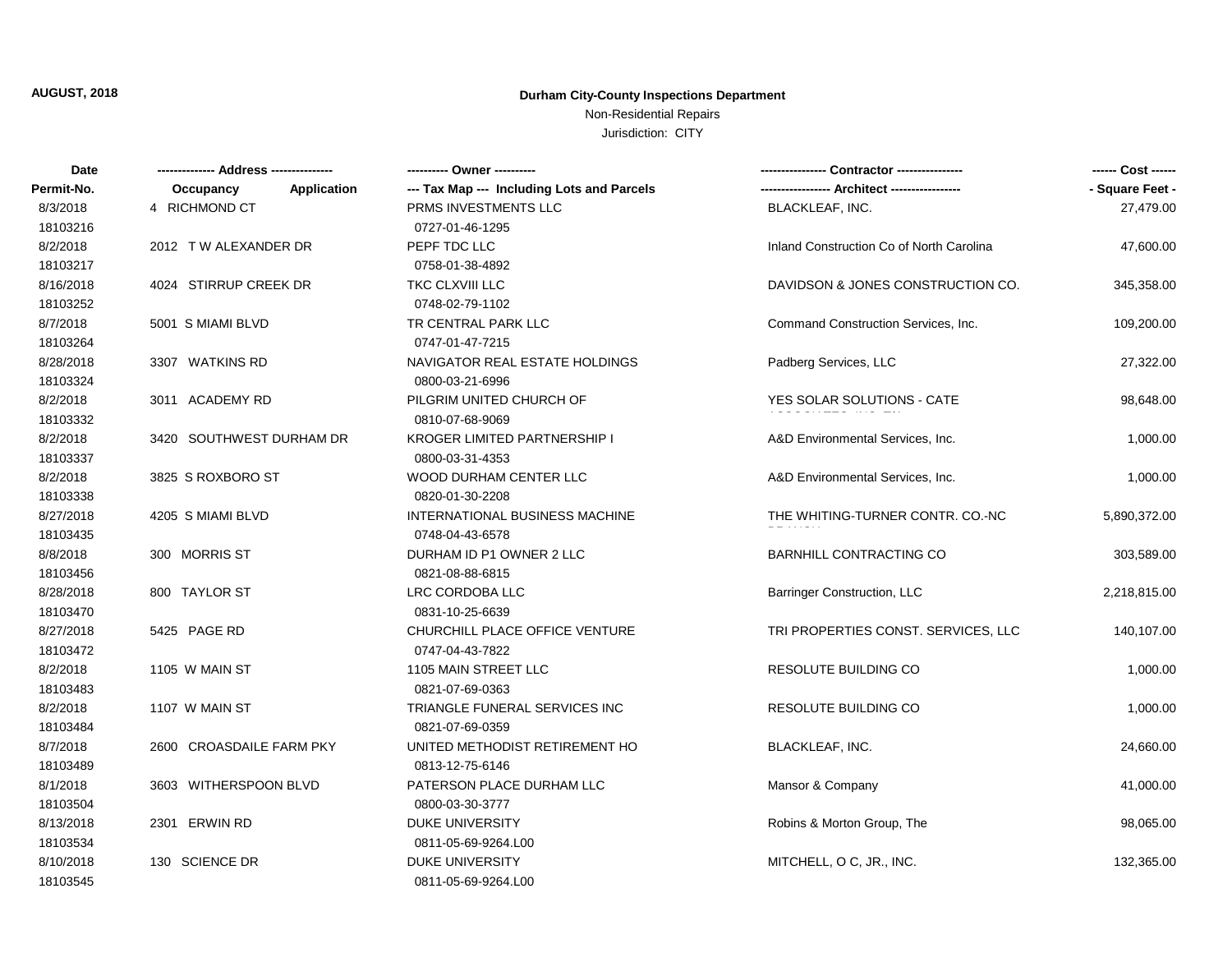# Non-Residential Repairs

| Date       | ------------- Address -------------- | ---------- Owner ----------                |                                             | ------ Cost ------ |
|------------|--------------------------------------|--------------------------------------------|---------------------------------------------|--------------------|
| Permit-No. | Application<br>Occupancy             | --- Tax Map --- Including Lots and Parcels | ---------------- Architect ---------------- | - Square Feet -    |
| 8/3/2018   | 4 RICHMOND CT                        | PRMS INVESTMENTS LLC                       | BLACKLEAF, INC.                             | 27,479.00          |
| 18103216   |                                      | 0727-01-46-1295                            |                                             |                    |
| 8/2/2018   | 2012 TW ALEXANDER DR                 | PEPF TDC LLC                               | Inland Construction Co of North Carolina    | 47,600.00          |
| 18103217   |                                      | 0758-01-38-4892                            |                                             |                    |
| 8/16/2018  | 4024 STIRRUP CREEK DR                | TKC CLXVIII LLC                            | DAVIDSON & JONES CONSTRUCTION CO.           | 345,358.00         |
| 18103252   |                                      | 0748-02-79-1102                            |                                             |                    |
| 8/7/2018   | 5001 S MIAMI BLVD                    | TR CENTRAL PARK LLC                        | Command Construction Services, Inc.         | 109,200.00         |
| 18103264   |                                      | 0747-01-47-7215                            |                                             |                    |
| 8/28/2018  | 3307 WATKINS RD                      | NAVIGATOR REAL ESTATE HOLDINGS             | Padberg Services, LLC                       | 27,322.00          |
| 18103324   |                                      | 0800-03-21-6996                            |                                             |                    |
| 8/2/2018   | 3011 ACADEMY RD                      | PILGRIM UNITED CHURCH OF                   | YES SOLAR SOLUTIONS - CATE                  | 98,648.00          |
| 18103332   |                                      | 0810-07-68-9069                            |                                             |                    |
| 8/2/2018   | 3420 SOUTHWEST DURHAM DR             | <b>KROGER LIMITED PARTNERSHIP I</b>        | A&D Environmental Services, Inc.            | 1,000.00           |
| 18103337   |                                      | 0800-03-31-4353                            |                                             |                    |
| 8/2/2018   | 3825 S ROXBORO ST                    | WOOD DURHAM CENTER LLC                     | A&D Environmental Services, Inc.            | 1,000.00           |
| 18103338   |                                      | 0820-01-30-2208                            |                                             |                    |
| 8/27/2018  | 4205 S MIAMI BLVD                    | INTERNATIONAL BUSINESS MACHINE             | THE WHITING-TURNER CONTR. CO.-NC            | 5,890,372.00       |
| 18103435   |                                      | 0748-04-43-6578                            |                                             |                    |
| 8/8/2018   | 300 MORRIS ST                        | DURHAM ID P1 OWNER 2 LLC                   | <b>BARNHILL CONTRACTING CO</b>              | 303,589.00         |
| 18103456   |                                      | 0821-08-88-6815                            |                                             |                    |
| 8/28/2018  | 800 TAYLOR ST                        | LRC CORDOBA LLC                            | Barringer Construction, LLC                 | 2,218,815.00       |
| 18103470   |                                      | 0831-10-25-6639                            |                                             |                    |
| 8/27/2018  | 5425 PAGE RD                         | CHURCHILL PLACE OFFICE VENTURE             | TRI PROPERTIES CONST. SERVICES, LLC         | 140,107.00         |
| 18103472   |                                      | 0747-04-43-7822                            |                                             |                    |
| 8/2/2018   | 1105 W MAIN ST                       | 1105 MAIN STREET LLC                       | RESOLUTE BUILDING CO                        | 1,000.00           |
| 18103483   |                                      | 0821-07-69-0363                            |                                             |                    |
| 8/2/2018   | 1107 W MAIN ST                       | TRIANGLE FUNERAL SERVICES INC              | RESOLUTE BUILDING CO                        | 1,000.00           |
| 18103484   |                                      | 0821-07-69-0359                            |                                             |                    |
| 8/7/2018   | 2600 CROASDAILE FARM PKY             | UNITED METHODIST RETIREMENT HO             | <b>BLACKLEAF, INC.</b>                      | 24,660.00          |
| 18103489   |                                      | 0813-12-75-6146                            |                                             |                    |
| 8/1/2018   | 3603 WITHERSPOON BLVD                | PATERSON PLACE DURHAM LLC                  | Mansor & Company                            | 41,000.00          |
| 18103504   |                                      | 0800-03-30-3777                            |                                             |                    |
| 8/13/2018  | 2301 ERWIN RD                        | DUKE UNIVERSITY                            | Robins & Morton Group, The                  | 98,065.00          |
| 18103534   |                                      | 0811-05-69-9264.L00                        |                                             |                    |
| 8/10/2018  | 130 SCIENCE DR                       | <b>DUKE UNIVERSITY</b>                     | MITCHELL, O C, JR., INC.                    | 132,365.00         |
| 18103545   |                                      | 0811-05-69-9264.L00                        |                                             |                    |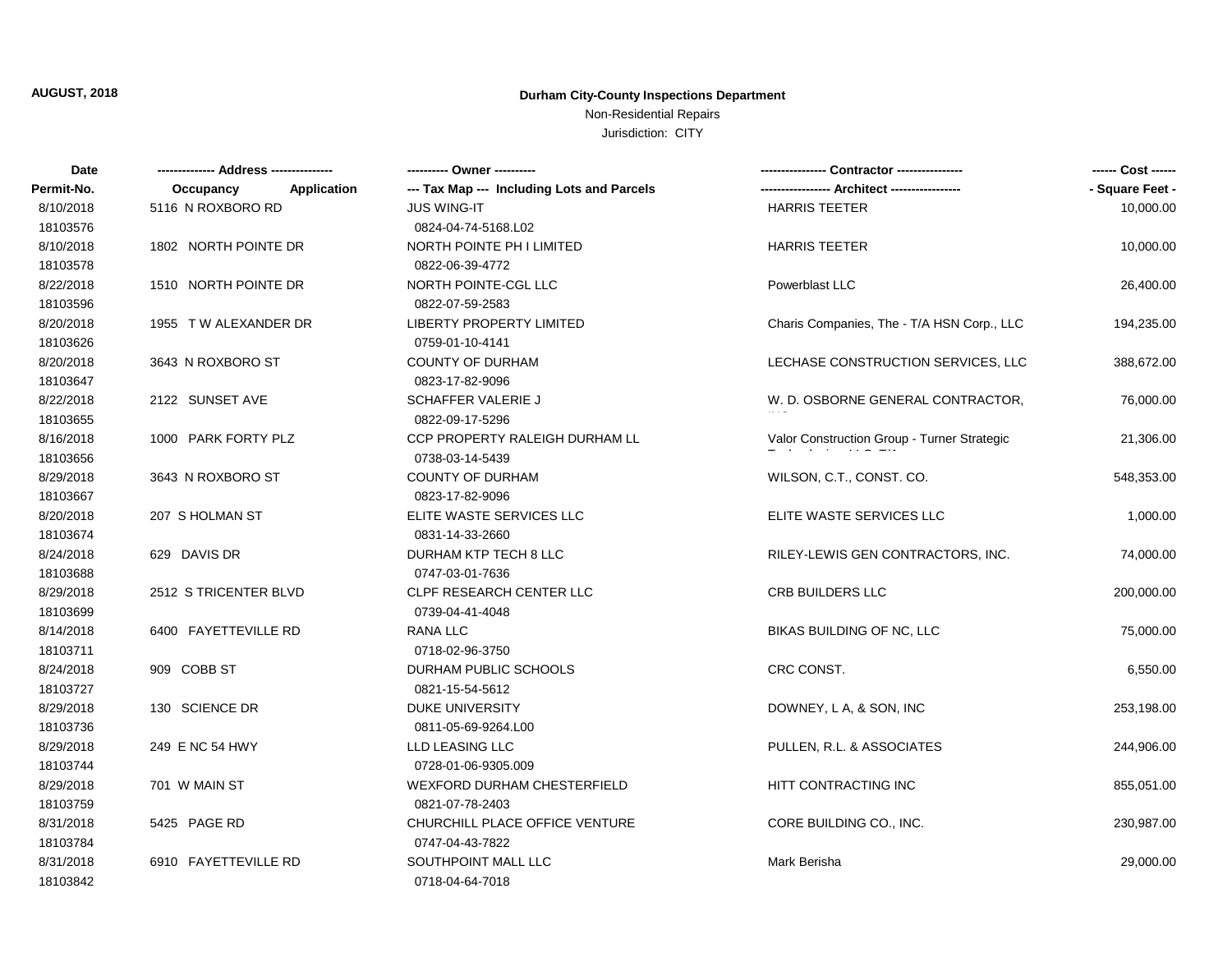## Non-Residential Repairs

| Date       |                                 | ---------- Owner ----------                |                                             | ------ Cost ------ |
|------------|---------------------------------|--------------------------------------------|---------------------------------------------|--------------------|
| Permit-No. | <b>Application</b><br>Occupancy | --- Tax Map --- Including Lots and Parcels | -- Architect --------------                 | - Square Feet -    |
| 8/10/2018  | 5116 N ROXBORO RD               | <b>JUS WING-IT</b>                         | <b>HARRIS TEETER</b>                        | 10,000.00          |
| 18103576   |                                 | 0824-04-74-5168.L02                        |                                             |                    |
| 8/10/2018  | 1802 NORTH POINTE DR            | NORTH POINTE PH I LIMITED                  | <b>HARRIS TEETER</b>                        | 10,000.00          |
| 18103578   |                                 | 0822-06-39-4772                            |                                             |                    |
| 8/22/2018  | 1510 NORTH POINTE DR            | NORTH POINTE-CGL LLC                       | Powerblast LLC                              | 26,400.00          |
| 18103596   |                                 | 0822-07-59-2583                            |                                             |                    |
| 8/20/2018  | 1955 T W ALEXANDER DR           | <b>LIBERTY PROPERTY LIMITED</b>            | Charis Companies, The - T/A HSN Corp., LLC  | 194,235.00         |
| 18103626   |                                 | 0759-01-10-4141                            |                                             |                    |
| 8/20/2018  | 3643 N ROXBORO ST               | <b>COUNTY OF DURHAM</b>                    | LECHASE CONSTRUCTION SERVICES, LLC          | 388,672.00         |
| 18103647   |                                 | 0823-17-82-9096                            |                                             |                    |
| 8/22/2018  | 2122 SUNSET AVE                 | <b>SCHAFFER VALERIE J</b>                  | W. D. OSBORNE GENERAL CONTRACTOR,           | 76,000.00          |
| 18103655   |                                 | 0822-09-17-5296                            |                                             |                    |
| 8/16/2018  | 1000 PARK FORTY PLZ             | CCP PROPERTY RALEIGH DURHAM LL             | Valor Construction Group - Turner Strategic | 21,306.00          |
| 18103656   |                                 | 0738-03-14-5439                            |                                             |                    |
| 8/29/2018  | 3643 N ROXBORO ST               | <b>COUNTY OF DURHAM</b>                    | WILSON, C.T., CONST. CO.                    | 548,353.00         |
| 18103667   |                                 | 0823-17-82-9096                            |                                             |                    |
| 8/20/2018  | 207 S HOLMAN ST                 | ELITE WASTE SERVICES LLC                   | ELITE WASTE SERVICES LLC                    | 1,000.00           |
| 18103674   |                                 | 0831-14-33-2660                            |                                             |                    |
| 8/24/2018  | 629 DAVIS DR                    | DURHAM KTP TECH 8 LLC                      | RILEY-LEWIS GEN CONTRACTORS, INC.           | 74,000.00          |
| 18103688   |                                 | 0747-03-01-7636                            |                                             |                    |
| 8/29/2018  | 2512 S TRICENTER BLVD           | CLPF RESEARCH CENTER LLC                   | <b>CRB BUILDERS LLC</b>                     | 200,000.00         |
| 18103699   |                                 | 0739-04-41-4048                            |                                             |                    |
| 8/14/2018  | 6400 FAYETTEVILLE RD            | RANA LLC                                   | BIKAS BUILDING OF NC, LLC                   | 75,000.00          |
| 18103711   |                                 | 0718-02-96-3750                            |                                             |                    |
| 8/24/2018  | 909 COBB ST                     | DURHAM PUBLIC SCHOOLS                      | CRC CONST.                                  | 6,550.00           |
| 18103727   |                                 | 0821-15-54-5612                            |                                             |                    |
| 8/29/2018  | 130 SCIENCE DR                  | <b>DUKE UNIVERSITY</b>                     | DOWNEY, L A, & SON, INC                     | 253,198.00         |
| 18103736   |                                 | 0811-05-69-9264.L00                        |                                             |                    |
| 8/29/2018  | 249 E NC 54 HWY                 | LLD LEASING LLC                            | PULLEN, R.L. & ASSOCIATES                   | 244,906.00         |
| 18103744   |                                 | 0728-01-06-9305.009                        |                                             |                    |
| 8/29/2018  | 701 W MAIN ST                   | WEXFORD DURHAM CHESTERFIELD                | HITT CONTRACTING INC                        | 855,051.00         |
| 18103759   |                                 | 0821-07-78-2403                            |                                             |                    |
| 8/31/2018  | 5425 PAGE RD                    | CHURCHILL PLACE OFFICE VENTURE             | CORE BUILDING CO., INC.                     | 230,987.00         |
| 18103784   |                                 | 0747-04-43-7822                            |                                             |                    |
| 8/31/2018  | 6910 FAYETTEVILLE RD            | SOUTHPOINT MALL LLC                        | Mark Berisha                                | 29,000.00          |
| 18103842   |                                 | 0718-04-64-7018                            |                                             |                    |